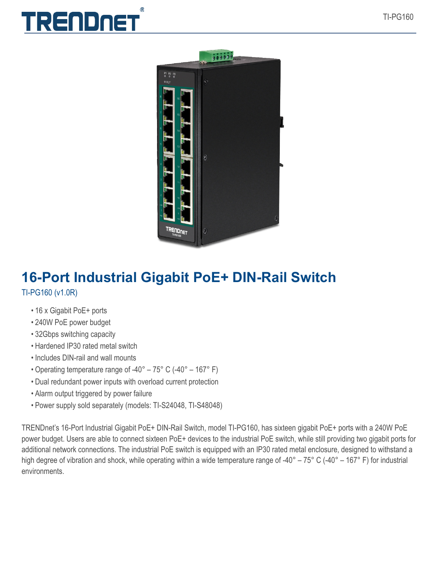## TRENDNET



## **16-Port Industrial Gigabit PoE+ DIN-Rail Switch** TI-PG160 (v1.0R)

- 16 x Gigabit PoE+ ports
- 240W PoE power budget
- 32Gbps switching capacity
- Hardened IP30 rated metal switch
- Includes DIN-rail and wall mounts
- Operating temperature range of -40° 75° C (-40° 167° F)
- Dual redundant power inputs with overload current protection
- Alarm output triggered by power failure
- Power supply sold separately (models: TI-S24048, TI-S48048)

TRENDnet's 16-Port Industrial Gigabit PoE+ DIN-Rail Switch, model TI-PG160, has sixteen gigabit PoE+ ports with a 240W PoE power budget. Users are able to connect sixteen PoE+ devices to the industrial PoE switch, while still providing two gigabit ports for additional network connections. The industrial PoE switch is equipped with an IP30 rated metal enclosure, designed to withstand a high degree of vibration and shock, while operating within a wide temperature range of -40° – 75° C (-40° – 167° F) for industrial environments.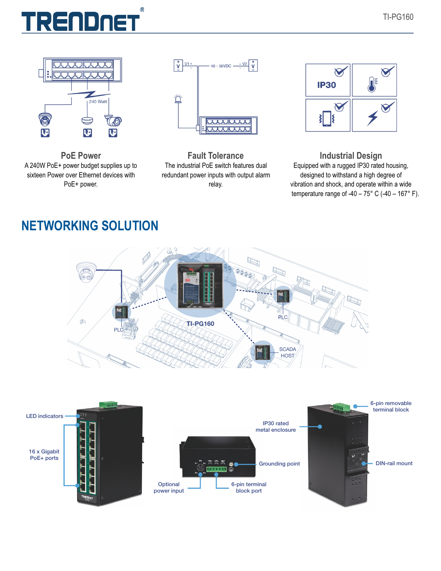







**Fault Tolerance** The industrial PoE switch features dual redundant power inputs with output alarm relay.



**Industrial Design** Equipped with a rugged IP30 rated housing, designed to withstand a high degree of vibration and shock, and operate within a wide temperature range of -40 –  $75^{\circ}$  C (-40 – 167° F).

## **NETWORKING SOLUTION**



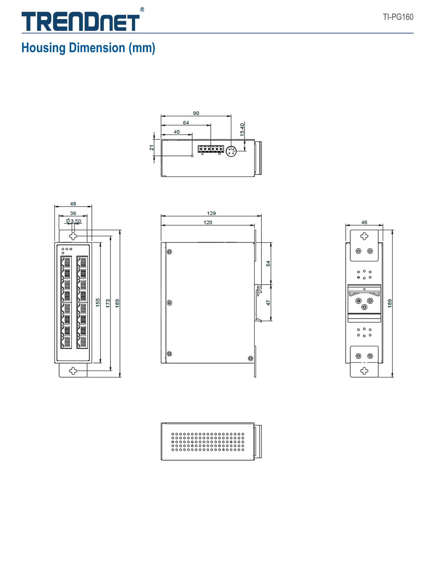## $^{\circledR}$ <u>TRENDNET</u>

## **Housing Dimension (mm)**









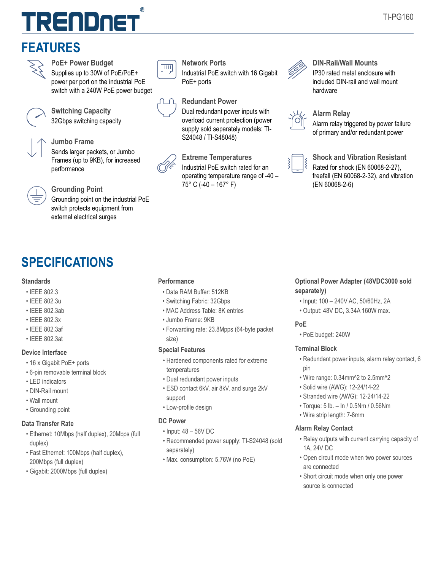# TRENDNET

## **FEATURES**



**PoE+ Power Budget** Supplies up to 30W of PoE/PoE+ power per port on the industrial PoE switch with a 240W PoE power budget



### **Switching Capacity** 32Gbps switching capacity



#### **Jumbo Frame**

Sends larger packets, or Jumbo Frames (up to 9KB), for increased performance



Grounding point on the industrial PoE switch protects equipment from external electrical surges

## **SPECIFICATIONS**

#### **Standards**

- IEEE 802.3
- IEEE 802.3u
- IEEE 802.3ab
- IEEE 802.3x
- IEEE 802.3af
- IEEE 802.3at

#### **Device Interface**

- 16 x Gigabit PoE+ ports
- 6-pin removable terminal block
- LED indicators
- DIN-Rail mount
- Wall mount
- Grounding point

#### **Data Transfer Rate**

- Ethernet: 10Mbps (half duplex), 20Mbps (full duplex)
- Fast Ethernet: 100Mbps (half duplex), 200Mbps (full duplex)
- Gigabit: 2000Mbps (full duplex)



#### **Network Ports**

Industrial PoE switch with 16 Gigabit PoE+ ports

#### **Redundant Power**

Dual redundant power inputs with overload current protection (power supply sold separately models: TI-S24048 / TI-S48048)

**Extreme Temperatures**

Industrial PoE switch rated for an operating temperature range of -40 – 75 $\degree$  C (-40 – 167 $\degree$  F) (EN 60068-2-6) **Grounding Point**



#### **DIN-Rail/Wall Mounts** IP30 rated metal enclosure with included DIN-rail and wall mount hardware



#### **Alarm Relay**

Alarm relay triggered by power failure of primary and/or redundant power



**Shock and Vibration Resistant** Rated for shock (EN 60068-2-27), freefall (EN 60068-2-32), and vibration

#### **Performance**

- Data RAM Buffer: 512KB
- Switching Fabric: 32Gbps
- MAC Address Table: 8K entries
- Jumbo Frame: 9KB
- Forwarding rate: 23.8Mpps (64-byte packet size)

#### **Special Features**

- Hardened components rated for extreme temperatures
- Dual redundant power inputs
- ESD contact 6kV, air 8kV, and surge 2kV support
- Low-profile design

#### **DC Power**

- Input: 48 56V DC
- Recommended power supply: TI-S24048 (sold separately)
- Max. consumption: 5.76W (no PoE)

#### **Optional Power Adapter (48VDC3000 sold separately)**

- Input: 100 240V AC, 50/60Hz, 2A
- Output: 48V DC, 3.34A 160W max.

#### **PoE**

• PoE budget: 240W

#### **Terminal Block**

- Redundant power inputs, alarm relay contact, 6 pin
- Wire range: 0.34mm^2 to 2.5mm^2
- Solid wire (AWG): 12-24/14-22
- Stranded wire (AWG): 12-24/14-22
- Torque: 5 lb. In / 0.5Nm / 0.56Nm
- Wire strip length: 7-8mm

#### **Alarm Relay Contact**

- Relay outputs with current carrying capacity of 1A, 24V DC
- Open circuit mode when two power sources are connected
- Short circuit mode when only one power source is connected